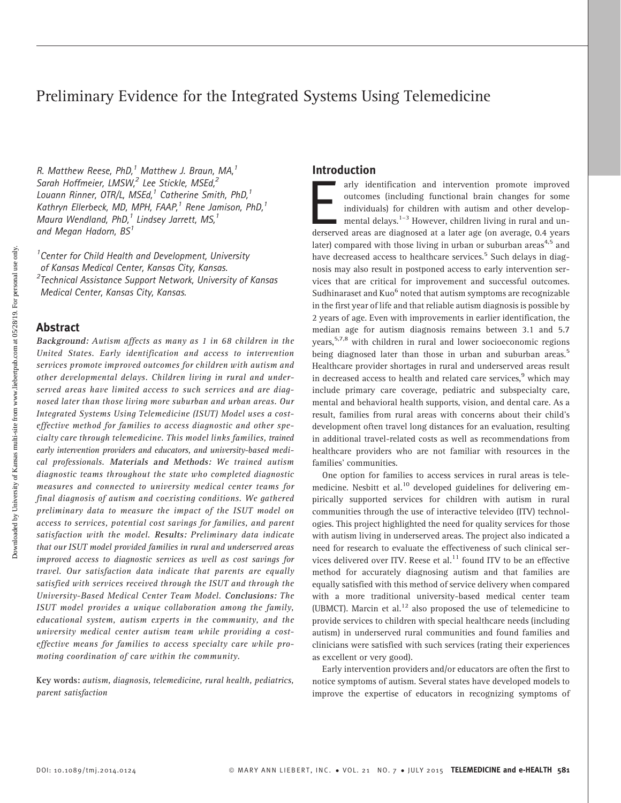# Preliminary Evidence for the Integrated Systems Using Telemedicine

R. Matthew Reese, PhD, $^1$  Matthew J. Braun, MA, $^1$ Sarah Hoffmeier, LMSW,<sup>2</sup> Lee Stickle, MSEd,<sup>2</sup> Louann Rinner, OTR/L, MSEd, $^1$  Catherine Smith, PhD, $^1$ Kathryn Ellerbeck, MD, MPH, FAAP, $^1$  Rene Jamison, PhD, $^1$ Maura Wendland,  $PhD<sub>i</sub><sup>1</sup>$  Lindsey Jarrett, MS, $<sup>1</sup>$ </sup> and Megan Hadorn,  $BS<sup>1</sup>$ 

<sup>1</sup> Center for Child Health and Development, University of Kansas Medical Center, Kansas City, Kansas. <sup>2</sup>Technical Assistance Support Network, University of Kansas Medical Center, Kansas City, Kansas.

### Abstract

Background: Autism affects as many as 1 in 68 children in the United States. Early identification and access to intervention services promote improved outcomes for children with autism and other developmental delays. Children living in rural and underserved areas have limited access to such services and are diagnosed later than those living more suburban and urban areas. Our Integrated Systems Using Telemedicine (ISUT) Model uses a costeffective method for families to access diagnostic and other specialty care through telemedicine. This model links families, trained early intervention providers and educators, and university-based medical professionals. Materials and Methods: We trained autism diagnostic teams throughout the state who completed diagnostic measures and connected to university medical center teams for final diagnosis of autism and coexisting conditions. We gathered preliminary data to measure the impact of the ISUT model on access to services, potential cost savings for families, and parent satisfaction with the model. Results: Preliminary data indicate that our ISUT model provided families in rural and underserved areas improved access to diagnostic services as well as cost savings for travel. Our satisfaction data indicate that parents are equally satisfied with services received through the ISUT and through the University-Based Medical Center Team Model. Conclusions: The ISUT model provides a unique collaboration among the family, educational system, autism experts in the community, and the university medical center autism team while providing a costeffective means for families to access specialty care while promoting coordination of care within the community.

Key words: autism, diagnosis, telemedicine, rural health, pediatrics, parent satisfaction

### Introduction

arly identification and intervention promote improved outcomes (including functional brain changes for some individuals) for children with autism and other developmental delays.<sup>1-3</sup> However, children living in rural and u outcomes (including functional brain changes for some individuals) for children with autism and other developmental delays. $1-3$  However, children living in rural and unlater) compared with those living in urban or suburban areas<sup>4,5</sup> and have decreased access to healthcare services.<sup>5</sup> Such delays in diagnosis may also result in postponed access to early intervention services that are critical for improvement and successful outcomes. Sudhinaraset and  $Kuo<sup>6</sup>$  noted that autism symptoms are recognizable in the first year of life and that reliable autism diagnosis is possible by 2 years of age. Even with improvements in earlier identification, the median age for autism diagnosis remains between 3.1 and 5.7 years,<sup>5,7,8</sup> with children in rural and lower socioeconomic regions being diagnosed later than those in urban and suburban areas.<sup>5</sup> Healthcare provider shortages in rural and underserved areas result in decreased access to health and related care services,<sup>9</sup> which may include primary care coverage, pediatric and subspecialty care, mental and behavioral health supports, vision, and dental care. As a result, families from rural areas with concerns about their child's development often travel long distances for an evaluation, resulting in additional travel-related costs as well as recommendations from healthcare providers who are not familiar with resources in the families' communities.

One option for families to access services in rural areas is telemedicine. Nesbitt et al.<sup>10</sup> developed guidelines for delivering empirically supported services for children with autism in rural communities through the use of interactive televideo (ITV) technologies. This project highlighted the need for quality services for those with autism living in underserved areas. The project also indicated a need for research to evaluate the effectiveness of such clinical services delivered over ITV. Reese et al. $^{11}$  found ITV to be an effective method for accurately diagnosing autism and that families are equally satisfied with this method of service delivery when compared with a more traditional university-based medical center team (UBMCT). Marcin et al.<sup>12</sup> also proposed the use of telemedicine to provide services to children with special healthcare needs (including autism) in underserved rural communities and found families and clinicians were satisfied with such services (rating their experiences as excellent or very good).

Early intervention providers and/or educators are often the first to notice symptoms of autism. Several states have developed models to improve the expertise of educators in recognizing symptoms of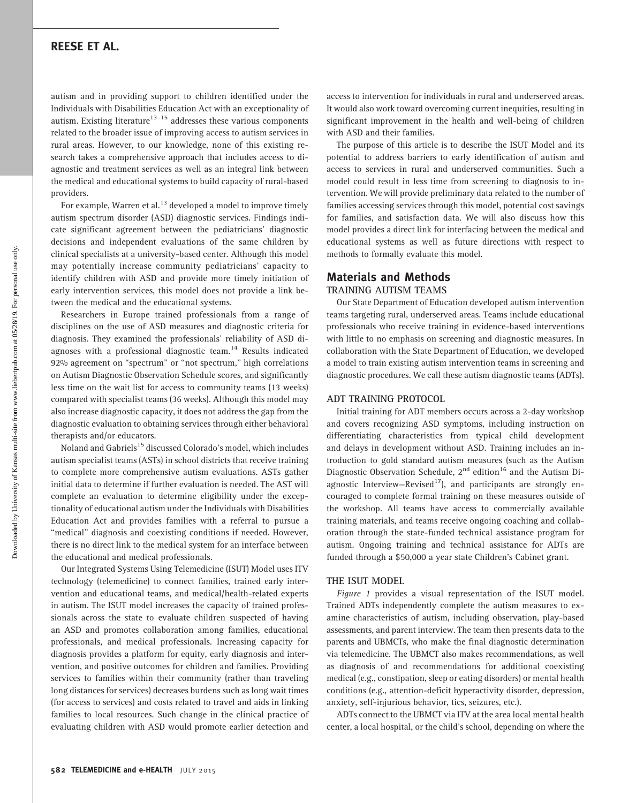# REESE ET AL.

autism and in providing support to children identified under the Individuals with Disabilities Education Act with an exceptionality of autism. Existing literature $13-15$  addresses these various components related to the broader issue of improving access to autism services in rural areas. However, to our knowledge, none of this existing research takes a comprehensive approach that includes access to diagnostic and treatment services as well as an integral link between the medical and educational systems to build capacity of rural-based providers.

For example, Warren et al.<sup>13</sup> developed a model to improve timely autism spectrum disorder (ASD) diagnostic services. Findings indicate significant agreement between the pediatricians' diagnostic decisions and independent evaluations of the same children by clinical specialists at a university-based center. Although this model may potentially increase community pediatricians' capacity to identify children with ASD and provide more timely initiation of early intervention services, this model does not provide a link between the medical and the educational systems.

Researchers in Europe trained professionals from a range of disciplines on the use of ASD measures and diagnostic criteria for diagnosis. They examined the professionals' reliability of ASD diagnoses with a professional diagnostic team.<sup>14</sup> Results indicated 92% agreement on ''spectrum'' or ''not spectrum,'' high correlations on Autism Diagnostic Observation Schedule scores, and significantly less time on the wait list for access to community teams (13 weeks) compared with specialist teams (36 weeks). Although this model may also increase diagnostic capacity, it does not address the gap from the diagnostic evaluation to obtaining services through either behavioral therapists and/or educators.

Noland and Gabriels<sup>15</sup> discussed Colorado's model, which includes autism specialist teams (ASTs) in school districts that receive training to complete more comprehensive autism evaluations. ASTs gather initial data to determine if further evaluation is needed. The AST will complete an evaluation to determine eligibility under the exceptionality of educational autism under the Individuals with Disabilities Education Act and provides families with a referral to pursue a "medical" diagnosis and coexisting conditions if needed. However, there is no direct link to the medical system for an interface between the educational and medical professionals.

Our Integrated Systems Using Telemedicine (ISUT) Model uses ITV technology (telemedicine) to connect families, trained early intervention and educational teams, and medical/health-related experts in autism. The ISUT model increases the capacity of trained professionals across the state to evaluate children suspected of having an ASD and promotes collaboration among families, educational professionals, and medical professionals. Increasing capacity for diagnosis provides a platform for equity, early diagnosis and intervention, and positive outcomes for children and families. Providing services to families within their community (rather than traveling long distances for services) decreases burdens such as long wait times (for access to services) and costs related to travel and aids in linking families to local resources. Such change in the clinical practice of evaluating children with ASD would promote earlier detection and

access to intervention for individuals in rural and underserved areas. It would also work toward overcoming current inequities, resulting in significant improvement in the health and well-being of children with ASD and their families.

The purpose of this article is to describe the ISUT Model and its potential to address barriers to early identification of autism and access to services in rural and underserved communities. Such a model could result in less time from screening to diagnosis to intervention. We will provide preliminary data related to the number of families accessing services through this model, potential cost savings for families, and satisfaction data. We will also discuss how this model provides a direct link for interfacing between the medical and educational systems as well as future directions with respect to methods to formally evaluate this model.

#### Materials and Methods TRAINING AUTISM TEAMS

Our State Department of Education developed autism intervention teams targeting rural, underserved areas. Teams include educational professionals who receive training in evidence-based interventions with little to no emphasis on screening and diagnostic measures. In collaboration with the State Department of Education, we developed a model to train existing autism intervention teams in screening and diagnostic procedures. We call these autism diagnostic teams (ADTs).

#### ADT TRAINING PROTOCOL

Initial training for ADT members occurs across a 2-day workshop and covers recognizing ASD symptoms, including instruction on differentiating characteristics from typical child development and delays in development without ASD. Training includes an introduction to gold standard autism measures (such as the Autism Diagnostic Observation Schedule,  $2^{nd}$  edition<sup>16</sup> and the Autism Diagnostic Interview-Revised<sup>17</sup>), and participants are strongly encouraged to complete formal training on these measures outside of the workshop. All teams have access to commercially available training materials, and teams receive ongoing coaching and collaboration through the state-funded technical assistance program for autism. Ongoing training and technical assistance for ADTs are funded through a \$50,000 a year state Children's Cabinet grant.

#### THE ISUT MODEL

Figure 1 provides a visual representation of the ISUT model. Trained ADTs independently complete the autism measures to examine characteristics of autism, including observation, play-based assessments, and parent interview. The team then presents data to the parents and UBMCTs, who make the final diagnostic determination via telemedicine. The UBMCT also makes recommendations, as well as diagnosis of and recommendations for additional coexisting medical (e.g., constipation, sleep or eating disorders) or mental health conditions (e.g., attention-deficit hyperactivity disorder, depression, anxiety, self-injurious behavior, tics, seizures, etc.).

ADTs connect to the UBMCT via ITV at the area local mental health center, a local hospital, or the child's school, depending on where the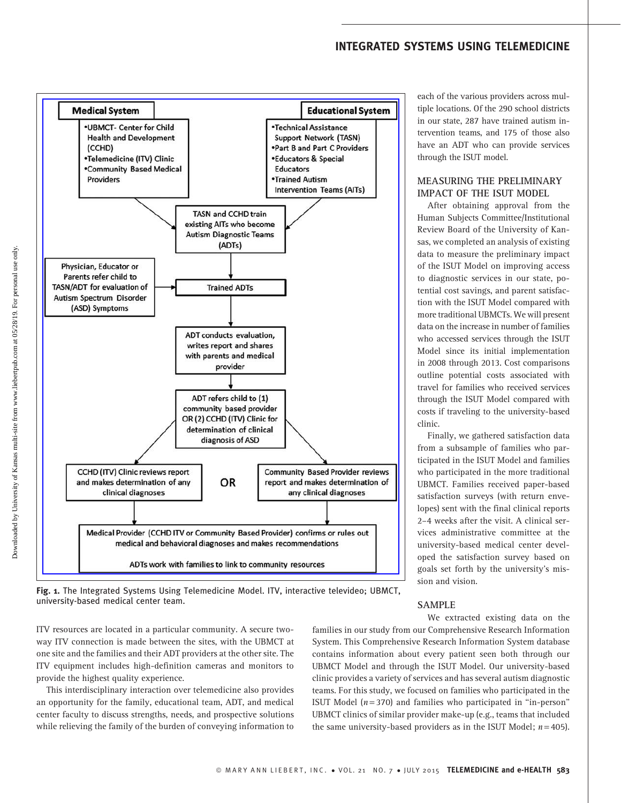# INTEGRATED SYSTEMS USING TELEMEDICINE



Fig. 1. The Integrated Systems Using Telemedicine Model. ITV, interactive televideo; UBMCT, university-based medical center team.

ITV resources are located in a particular community. A secure twoway ITV connection is made between the sites, with the UBMCT at one site and the families and their ADT providers at the other site. The ITV equipment includes high-definition cameras and monitors to provide the highest quality experience.

This interdisciplinary interaction over telemedicine also provides an opportunity for the family, educational team, ADT, and medical center faculty to discuss strengths, needs, and prospective solutions while relieving the family of the burden of conveying information to

families in our study from our Comprehensive Research Information System. This Comprehensive Research Information System database contains information about every patient seen both through our UBMCT Model and through the ISUT Model. Our university-based clinic provides a variety of services and has several autism diagnostic teams. For this study, we focused on families who participated in the ISUT Model ( $n = 370$ ) and families who participated in "in-person" UBMCT clinics of similar provider make-up (e.g., teams that included the same university-based providers as in the ISUT Model;  $n = 405$ ).

SAMPLE

each of the various providers across multiple locations. Of the 290 school districts in our state, 287 have trained autism intervention teams, and 175 of those also have an ADT who can provide services through the ISUT model.

# MEASURING THE PRELIMINARY IMPACT OF THE ISUT MODEL

After obtaining approval from the Human Subjects Committee/Institutional Review Board of the University of Kansas, we completed an analysis of existing data to measure the preliminary impact of the ISUT Model on improving access to diagnostic services in our state, potential cost savings, and parent satisfaction with the ISUT Model compared with more traditional UBMCTs. We will present data on the increase in number of families who accessed services through the ISUT Model since its initial implementation in 2008 through 2013. Cost comparisons outline potential costs associated with travel for families who received services through the ISUT Model compared with costs if traveling to the university-based clinic.

Finally, we gathered satisfaction data from a subsample of families who participated in the ISUT Model and families who participated in the more traditional UBMCT. Families received paper-based satisfaction surveys (with return envelopes) sent with the final clinical reports 2–4 weeks after the visit. A clinical services administrative committee at the university-based medical center developed the satisfaction survey based on goals set forth by the university's mission and vision.

We extracted existing data on the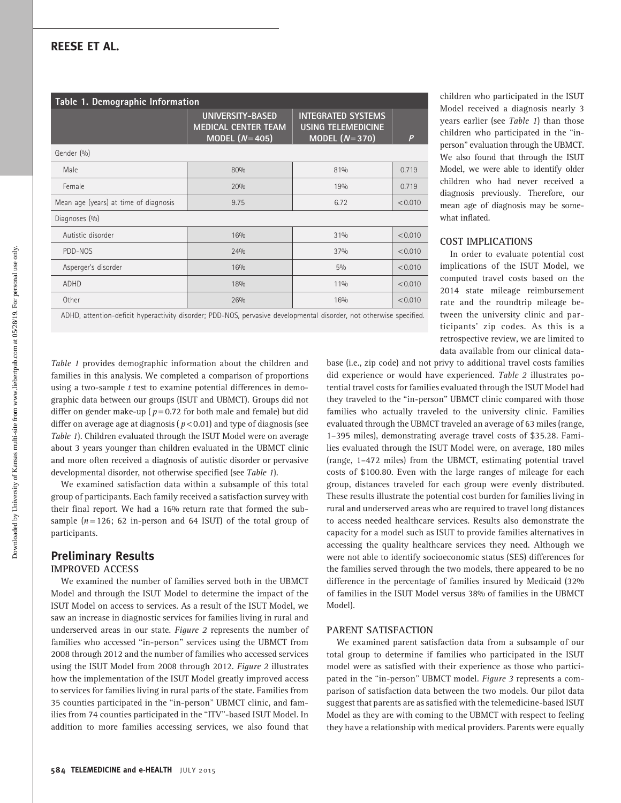# REESE ET AL.

Table 1. Demographic Information UNIVERSITY-BASED MEDICAL CENTER TEAM MODEL  $(N = 405)$ INTEGRATED SYSTEMS USING TELEMEDICINE MODEL  $(N=370)$   $\vert$  *P* Gender (%) Male 80% 80% 81% 81% 81% 81% 0.719 Female 20% 19% 0.719 Mean age (years) at time of diagnosis 9.75 6.72 < 0.010 Diagnoses (%) Autistic disorder 16% 16% 31% 31% 31% 31% 31% 31% PDD-NOS 24% 37% < 0.010 Asperger's disorder 16% 16% 16% 16% 5% 5% 5% 5% 5% 5% 5% 5% 5% 16% 5% 16% 5% 16% 5% 16% 16% 16% 16% 16% 16% 16% ADHD 18% 11% < 0.010 Other 26% 16% < 0.010

ADHD, attention-deficit hyperactivity disorder; PDD-NOS, pervasive developmental disorder, not otherwise specified.

Table 1 provides demographic information about the children and families in this analysis. We completed a comparison of proportions using a two-sample  $t$  test to examine potential differences in demographic data between our groups (ISUT and UBMCT). Groups did not differ on gender make-up ( $p = 0.72$  for both male and female) but did differ on average age at diagnosis ( $p$ <0.01) and type of diagnosis (see Table 1). Children evaluated through the ISUT Model were on average about 3 years younger than children evaluated in the UBMCT clinic and more often received a diagnosis of autistic disorder or pervasive developmental disorder, not otherwise specified (see Table 1).

We examined satisfaction data within a subsample of this total group of participants. Each family received a satisfaction survey with their final report. We had a 16% return rate that formed the subsample  $(n = 126; 62$  in-person and 64 ISUT) of the total group of participants.

# Preliminary Results IMPROVED ACCESS

We examined the number of families served both in the UBMCT Model and through the ISUT Model to determine the impact of the ISUT Model on access to services. As a result of the ISUT Model, we saw an increase in diagnostic services for families living in rural and underserved areas in our state. Figure 2 represents the number of families who accessed ''in-person'' services using the UBMCT from 2008 through 2012 and the number of families who accessed services using the ISUT Model from 2008 through 2012. Figure 2 illustrates how the implementation of the ISUT Model greatly improved access to services for families living in rural parts of the state. Families from 35 counties participated in the ''in-person'' UBMCT clinic, and families from 74 counties participated in the ''ITV''-based ISUT Model. In addition to more families accessing services, we also found that

children who participated in the ISUT Model received a diagnosis nearly 3 years earlier (see Table 1) than those children who participated in the ''inperson'' evaluation through the UBMCT. We also found that through the ISUT Model, we were able to identify older children who had never received a diagnosis previously. Therefore, our mean age of diagnosis may be somewhat inflated.

#### COST IMPLICATIONS

In order to evaluate potential cost implications of the ISUT Model, we computed travel costs based on the 2014 state mileage reimbursement rate and the roundtrip mileage between the university clinic and participants' zip codes. As this is a retrospective review, we are limited to data available from our clinical data-

base (i.e., zip code) and not privy to additional travel costs families did experience or would have experienced. Table 2 illustrates potential travel costs for families evaluated through the ISUT Model had they traveled to the ''in-person'' UBMCT clinic compared with those families who actually traveled to the university clinic. Families evaluated through the UBMCT traveled an average of 63 miles (range, 1–395 miles), demonstrating average travel costs of \$35.28. Families evaluated through the ISUT Model were, on average, 180 miles (range, 1–472 miles) from the UBMCT, estimating potential travel costs of \$100.80. Even with the large ranges of mileage for each group, distances traveled for each group were evenly distributed. These results illustrate the potential cost burden for families living in rural and underserved areas who are required to travel long distances to access needed healthcare services. Results also demonstrate the capacity for a model such as ISUT to provide families alternatives in accessing the quality healthcare services they need. Although we were not able to identify socioeconomic status (SES) differences for the families served through the two models, there appeared to be no difference in the percentage of families insured by Medicaid (32% of families in the ISUT Model versus 38% of families in the UBMCT Model).

### PARENT SATISFACTION

We examined parent satisfaction data from a subsample of our total group to determine if families who participated in the ISUT model were as satisfied with their experience as those who participated in the "in-person" UBMCT model. Figure 3 represents a comparison of satisfaction data between the two models. Our pilot data suggest that parents are as satisfied with the telemedicine-based ISUT Model as they are with coming to the UBMCT with respect to feeling they have a relationship with medical providers. Parents were equally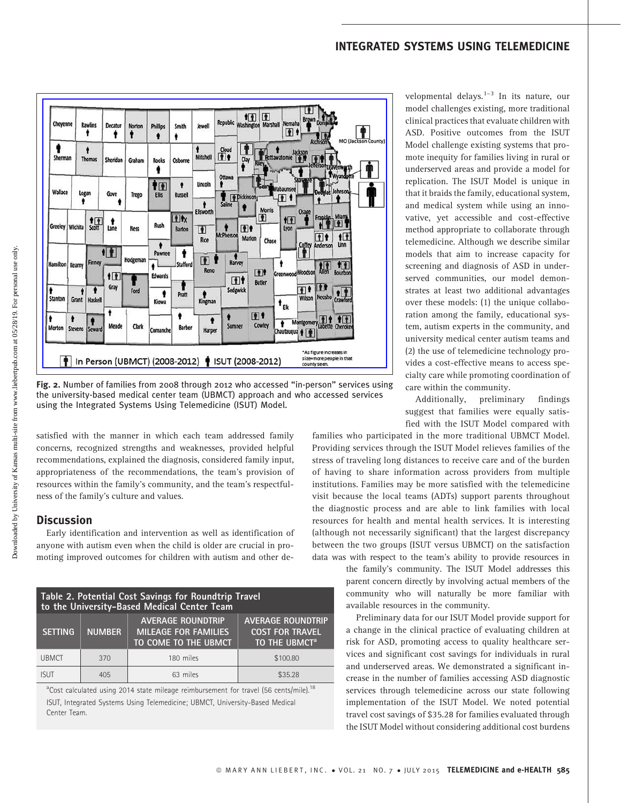# INTEGRATED SYSTEMS USING TELEMEDICINE



Fig. 2. Number of families from 2008 through 2012 who accessed ''in-person'' services using the university-based medical center team (UBMCT) approach and who accessed services using the Integrated Systems Using Telemedicine (ISUT) Model.

satisfied with the manner in which each team addressed family concerns, recognized strengths and weaknesses, provided helpful recommendations, explained the diagnosis, considered family input, appropriateness of the recommendations, the team's provision of resources within the family's community, and the team's respectfulness of the family's culture and values.

# **Discussion**

Early identification and intervention as well as identification of anyone with autism even when the child is older are crucial in promoting improved outcomes for children with autism and other de-

| Table 2. Potential Cost Savings for Roundtrip Travel<br>to the University-Based Medical Center Team |               |                                                                                 |                                                                                 |
|-----------------------------------------------------------------------------------------------------|---------------|---------------------------------------------------------------------------------|---------------------------------------------------------------------------------|
| <b>SETTING</b>                                                                                      | <b>NUMBER</b> | <b>AVERAGE ROUNDTRIP</b><br><b>MILEAGE FOR FAMILIES</b><br>TO COME TO THE UBMCT | <b>AVERAGE ROUNDTRIP</b><br><b>COST FOR TRAVEL</b><br>TO THE UBMCT <sup>a</sup> |
| <b>UBMCT</b>                                                                                        | 370           | 180 miles                                                                       | \$100.80                                                                        |
| isut                                                                                                | 405           | 63 miles                                                                        | \$35.28                                                                         |

<sup>a</sup>Cost calculated using 2014 state mileage reimbursement for travel (56 cents/mile).<sup>18</sup> ISUT, Integrated Systems Using Telemedicine; UBMCT, University-Based Medical Center Team.

velopmental delays. $1-3$  In its nature, our model challenges existing, more traditional clinical practices that evaluate children with ASD. Positive outcomes from the ISUT Model challenge existing systems that promote inequity for families living in rural or underserved areas and provide a model for replication. The ISUT Model is unique in that it braids the family, educational system, and medical system while using an innovative, yet accessible and cost-effective method appropriate to collaborate through telemedicine. Although we describe similar models that aim to increase capacity for screening and diagnosis of ASD in underserved communities, our model demonstrates at least two additional advantages over these models: (1) the unique collaboration among the family, educational system, autism experts in the community, and university medical center autism teams and (2) the use of telemedicine technology provides a cost-effective means to access specialty care while promoting coordination of care within the community.

Additionally, preliminary findings suggest that families were equally satisfied with the ISUT Model compared with

families who participated in the more traditional UBMCT Model. Providing services through the ISUT Model relieves families of the stress of traveling long distances to receive care and of the burden of having to share information across providers from multiple institutions. Families may be more satisfied with the telemedicine visit because the local teams (ADTs) support parents throughout the diagnostic process and are able to link families with local resources for health and mental health services. It is interesting (although not necessarily significant) that the largest discrepancy between the two groups (ISUT versus UBMCT) on the satisfaction data was with respect to the team's ability to provide resources in

> the family's community. The ISUT Model addresses this parent concern directly by involving actual members of the community who will naturally be more familiar with available resources in the community.

> Preliminary data for our ISUT Model provide support for a change in the clinical practice of evaluating children at risk for ASD, promoting access to quality healthcare services and significant cost savings for individuals in rural and underserved areas. We demonstrated a significant increase in the number of families accessing ASD diagnostic services through telemedicine across our state following implementation of the ISUT Model. We noted potential travel cost savings of \$35.28 for families evaluated through the ISUT Model without considering additional cost burdens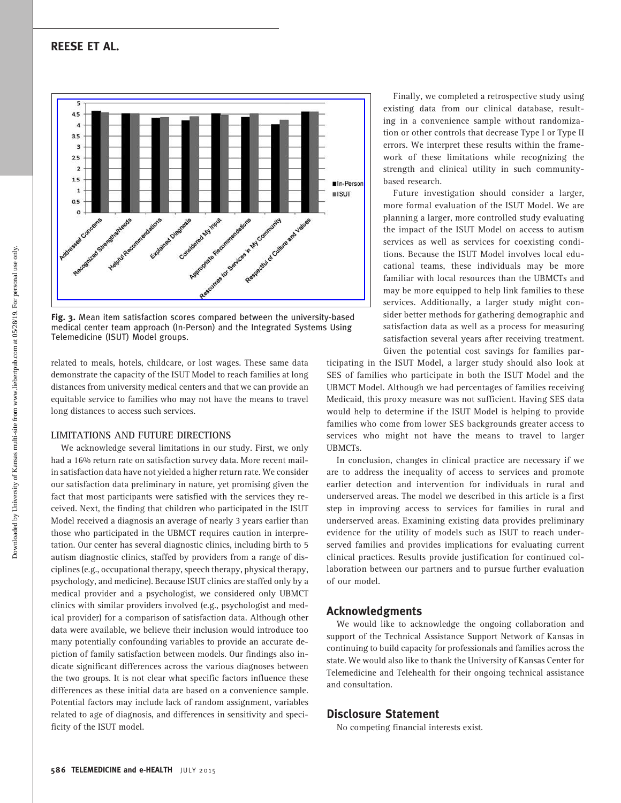

Fig. 3. Mean item satisfaction scores compared between the university-based medical center team approach (In-Person) and the Integrated Systems Using Telemedicine (ISUT) Model groups.

related to meals, hotels, childcare, or lost wages. These same data demonstrate the capacity of the ISUT Model to reach families at long distances from university medical centers and that we can provide an equitable service to families who may not have the means to travel long distances to access such services.

#### LIMITATIONS AND FUTURE DIRECTIONS

We acknowledge several limitations in our study. First, we only had a 16% return rate on satisfaction survey data. More recent mailin satisfaction data have not yielded a higher return rate. We consider our satisfaction data preliminary in nature, yet promising given the fact that most participants were satisfied with the services they received. Next, the finding that children who participated in the ISUT Model received a diagnosis an average of nearly 3 years earlier than those who participated in the UBMCT requires caution in interpretation. Our center has several diagnostic clinics, including birth to 5 autism diagnostic clinics, staffed by providers from a range of disciplines (e.g., occupational therapy, speech therapy, physical therapy, psychology, and medicine). Because ISUT clinics are staffed only by a medical provider and a psychologist, we considered only UBMCT clinics with similar providers involved (e.g., psychologist and medical provider) for a comparison of satisfaction data. Although other data were available, we believe their inclusion would introduce too many potentially confounding variables to provide an accurate depiction of family satisfaction between models. Our findings also indicate significant differences across the various diagnoses between the two groups. It is not clear what specific factors influence these differences as these initial data are based on a convenience sample. Potential factors may include lack of random assignment, variables related to age of diagnosis, and differences in sensitivity and specificity of the ISUT model.

Finally, we completed a retrospective study using existing data from our clinical database, resulting in a convenience sample without randomization or other controls that decrease Type I or Type II errors. We interpret these results within the framework of these limitations while recognizing the strength and clinical utility in such communitybased research.

Future investigation should consider a larger, more formal evaluation of the ISUT Model. We are planning a larger, more controlled study evaluating the impact of the ISUT Model on access to autism services as well as services for coexisting conditions. Because the ISUT Model involves local educational teams, these individuals may be more familiar with local resources than the UBMCTs and may be more equipped to help link families to these services. Additionally, a larger study might consider better methods for gathering demographic and satisfaction data as well as a process for measuring satisfaction several years after receiving treatment. Given the potential cost savings for families par-

ticipating in the ISUT Model, a larger study should also look at SES of families who participate in both the ISUT Model and the UBMCT Model. Although we had percentages of families receiving Medicaid, this proxy measure was not sufficient. Having SES data would help to determine if the ISUT Model is helping to provide families who come from lower SES backgrounds greater access to services who might not have the means to travel to larger UBMCTs.

In conclusion, changes in clinical practice are necessary if we are to address the inequality of access to services and promote earlier detection and intervention for individuals in rural and underserved areas. The model we described in this article is a first step in improving access to services for families in rural and underserved areas. Examining existing data provides preliminary evidence for the utility of models such as ISUT to reach underserved families and provides implications for evaluating current clinical practices. Results provide justification for continued collaboration between our partners and to pursue further evaluation of our model.

# Acknowledgments

We would like to acknowledge the ongoing collaboration and support of the Technical Assistance Support Network of Kansas in continuing to build capacity for professionals and families across the state. We would also like to thank the University of Kansas Center for Telemedicine and Telehealth for their ongoing technical assistance and consultation.

# Disclosure Statement

No competing financial interests exist.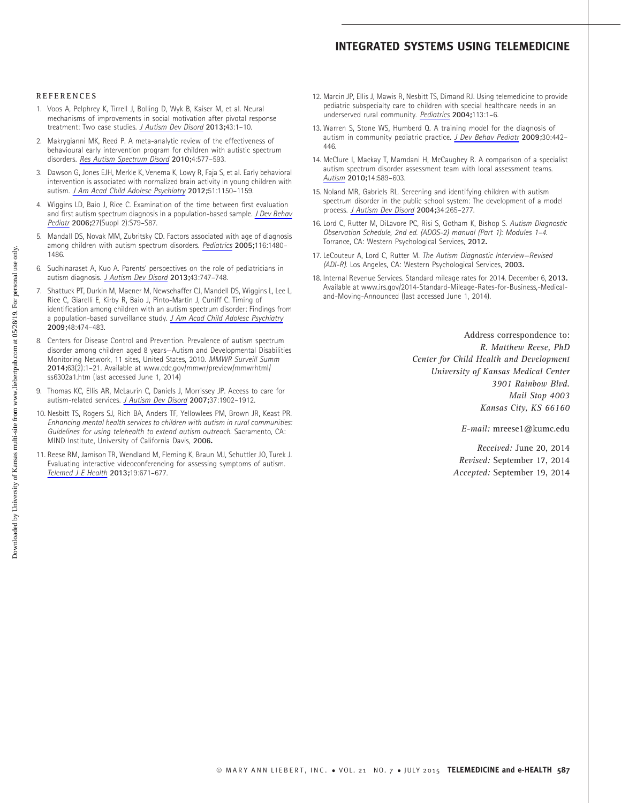# INTEGRATED SYSTEMS USING TELEMEDICINE

#### **REFERENCES**

- 1. Voos A, Pelphrey K, Tirrell J, Bolling D, Wyk B, Kaiser M, et al. Neural mechanisms of improvements in social motivation after pivotal response treatment: Two case studies. [J Autism Dev Disord](https://www.liebertpub.com/action/showLinks?doi=10.1089%2Ftmj.2014.0124&pmid=23104615&crossref=10.1007%2Fs10803-012-1683-9&citationId=p_22) 2013;43:1–10.
- 2. Makrygianni MK, Reed P. A meta-analytic review of the effectiveness of behavioural early intervention program for children with autistic spectrum disorders. [Res Autism Spectrum Disord](https://www.liebertpub.com/action/showLinks?doi=10.1089%2Ftmj.2014.0124&crossref=10.1016%2Fj.rasd.2010.01.014&citationId=p_23) 2010;4:577–593.
- 3. Dawson G, Jones EJH, Merkle K, Venema K, Lowy R, Faja S, et al. Early behavioral intervention is associated with normalized brain activity in young children with autism. [J Am Acad Child Adolesc Psychiatry](https://www.liebertpub.com/action/showLinks?doi=10.1089%2Ftmj.2014.0124&pmid=23101741&crossref=10.1016%2Fj.jaac.2012.08.018&citationId=p_24) 2012;51:1150–1159.
- 4. Wiggins LD, Baio J, Rice C. Examination of the time between first evaluation and first autism spectrum diagnosis in a population-based sample. [J Dev Behav](https://www.liebertpub.com/action/showLinks?doi=10.1089%2Ftmj.2014.0124&crossref=10.1097%2F00004703-200604002-00005&citationId=p_25) [Pediatr](https://www.liebertpub.com/action/showLinks?doi=10.1089%2Ftmj.2014.0124&crossref=10.1097%2F00004703-200604002-00005&citationId=p_25) 2006;27(Suppl 2):S79–S87.
- 5. Mandall DS, Novak MM, Zubritsky CD. Factors associated with age of diagnosis among children with autism spectrum disorders. [Pediatrics](https://www.liebertpub.com/action/showLinks?doi=10.1089%2Ftmj.2014.0124&pmid=16322174&crossref=10.1542%2Fpeds.2005-0185&citationId=p_26) 2005;116:1480-1486.
- 6. Sudhinaraset A, Kuo A. Parents' perspectives on the role of pediatricians in autism diagnosis. [J Autism Dev Disord](https://www.liebertpub.com/action/showLinks?doi=10.1089%2Ftmj.2014.0124&pmid=22790426&crossref=10.1007%2Fs10803-012-1591-z&citationId=p_27) 2013;43:747–748.
- 7. Shattuck PT, Durkin M, Maener M, Newschaffer CJ, Mandell DS, Wiggins L, Lee L, Rice C, Giarelli E, Kirby R, Baio J, Pinto-Martin J, Cuniff C. Timing of identification among children with an autism spectrum disorder: Findings from a population-based surveillance study. [J Am Acad Child Adolesc Psychiatry](https://www.liebertpub.com/action/showLinks?doi=10.1089%2Ftmj.2014.0124&pmid=19318992&crossref=10.1097%2FCHI.0b013e31819b3848&citationId=p_28) 2009;48:474–483.
- 8. Centers for Disease Control and Prevention. Prevalence of autism spectrum disorder among children aged 8 years—Autism and Developmental Disabilities Monitoring Network, 11 sites, United States, 2010. MMWR Surveill Summ 2014;63(2):1–21. Available at www.cdc.gov/mmwr/preview/mmwrhtml/ ss6302a1.htm (last accessed June 1, 2014)
- 9. Thomas KC, Ellis AR, McLaurin C, Daniels J, Morrissey JP. Access to care for autism-related services. [J Autism Dev Disord](https://www.liebertpub.com/action/showLinks?doi=10.1089%2Ftmj.2014.0124&pmid=17372817&crossref=10.1007%2Fs10803-006-0323-7&citationId=p_30) 2007;37:1902–1912.
- 10. Nesbitt TS, Rogers SJ, Rich BA, Anders TF, Yellowlees PM, Brown JR, Keast PR. Enhancing mental health services to children with autism in rural communities: Guidelines for using telehealth to extend autism outreach. Sacramento, CA: MIND Institute, University of California Davis, 2006.
- 11. Reese RM, Jamison TR, Wendland M, Fleming K, Braun MJ, Schuttler JO, Turek J. Evaluating interactive videoconferencing for assessing symptoms of autism. [Telemed J E Health](https://www.liebertpub.com/action/showLinks?doi=10.1089%2Ftmj.2014.0124&system=10.1089%2Ftmj.2012.0312&citationId=p_32) 2013;19:671–677.
- 12. Marcin JP, Ellis J, Mawis R, Nesbitt TS, Dimand RJ. Using telemedicine to provide pediatric subspecialty care to children with special healthcare needs in an underserved rural community. [Pediatrics](https://www.liebertpub.com/action/showLinks?doi=10.1089%2Ftmj.2014.0124&pmid=14702439&crossref=10.1542%2Fpeds.113.1.1&citationId=p_33) 2004;113:1–6.
- 13. Warren S, Stone WS, Humberd Q. A training model for the diagnosis of autism in community pediatric practice. [J Dev Behav Pediatr](https://www.liebertpub.com/action/showLinks?doi=10.1089%2Ftmj.2014.0124&pmid=19823138&crossref=10.1097%2FDBP.0b013e3181ba0e4e&citationId=p_34) 2009;30:442– 446.
- 14. McClure I, Mackay T, Mamdani H, McCaughey R. A comparison of a specialist autism spectrum disorder assessment team with local assessment teams. [Autism](https://www.liebertpub.com/action/showLinks?doi=10.1089%2Ftmj.2014.0124&pmid=20923893&crossref=10.1177%2F1362361310373369&citationId=p_35) 2010;14:589–603.
- 15. Noland MR, Gabriels RL. Screening and identifying children with autism spectrum disorder in the public school system: The development of a model process. [J Autism Dev Disord](https://www.liebertpub.com/action/showLinks?doi=10.1089%2Ftmj.2014.0124&pmid=15264495&crossref=10.1023%2FB%3AJADD.0000029549.84385.44&citationId=p_36) 2004;34:265–277.
- 16. Lord C, Rutter M, DiLavore PC, Risi S, Gotham K, Bishop S. Autism Diagnostic Observation Schedule, 2nd ed. (ADOS-2) manual (Part 1): Modules 1–4. Torrance, CA: Western Psychological Services, 2012.
- 17. LeCouteur A, Lord C, Rutter M. The Autism Diagnostic Interview-Revised (ADI-R). Los Angeles, CA: Western Psychological Services, 2003.
- 18. Internal Revenue Services. Standard mileage rates for 2014. December 6, 2013. Available at www.irs.gov/2014-Standard-Mileage-Rates-for-Business,-Medicaland-Moving-Announced (last accessed June 1, 2014).

Address correspondence to: R. Matthew Reese, PhD Center for Child Health and Development University of Kansas Medical Center 3901 Rainbow Blvd. Mail Stop 4003 Kansas City, KS 66160

E-mail: mreese1@kumc.edu

Received: June 20, 2014 Revised: September 17, 2014 Accepted: September 19, 2014